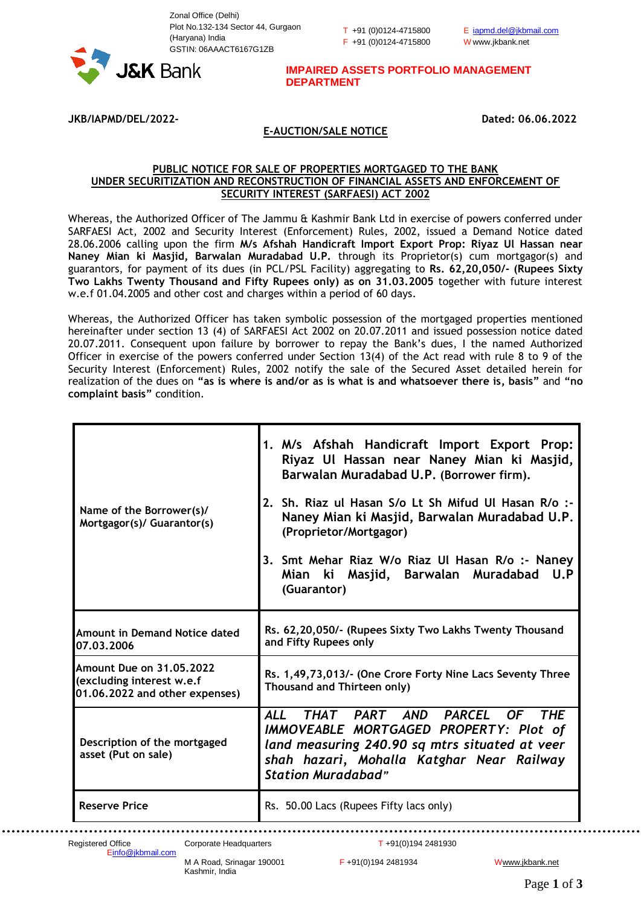T +91 (0)0124-4715800 F +91 (0)0124-4715800



**IMPAIRED ASSETS PORTFOLIO MANAGEMENT DEPARTMENT**

**JKB/IAPMD/DEL/2022- Dated: 06.06.2022**

## **E-AUCTION/SALE NOTICE**

## **PUBLIC NOTICE FOR SALE OF PROPERTIES MORTGAGED TO THE BANK UNDER SECURITIZATION AND RECONSTRUCTION OF FINANCIAL ASSETS AND ENFORCEMENT OF SECURITY INTEREST (SARFAESI) ACT 2002**

Whereas, the Authorized Officer of The Jammu & Kashmir Bank Ltd in exercise of powers conferred under SARFAESI Act, 2002 and Security Interest (Enforcement) Rules, 2002, issued a Demand Notice dated 28.06.2006 calling upon the firm **M/s Afshah Handicraft Import Export Prop: Riyaz Ul Hassan near Naney Mian ki Masjid, Barwalan Muradabad U.P.** through its Proprietor(s) cum mortgagor(s) and guarantors, for payment of its dues (in PCL/PSL Facility) aggregating to **Rs. 62,20,050/- (Rupees Sixty Two Lakhs Twenty Thousand and Fifty Rupees only) as on 31.03.2005** together with future interest w.e.f 01.04.2005 and other cost and charges within a period of 60 days.

Whereas, the Authorized Officer has taken symbolic possession of the mortgaged properties mentioned hereinafter under section 13 (4) of SARFAESI Act 2002 on 20.07.2011 and issued possession notice dated 20.07.2011. Consequent upon failure by borrower to repay the Bank's dues, I the named Authorized Officer in exercise of the powers conferred under Section 13(4) of the Act read with rule 8 to 9 of the Security Interest (Enforcement) Rules, 2002 notify the sale of the Secured Asset detailed herein for realization of the dues on **"as is where is and/or as is what is and whatsoever there is, basis"** and **"no complaint basis"** condition.

| Name of the Borrower(s)/<br>Mortgagor(s)/ Guarantor(s)                                  | 1. M/s Afshah Handicraft Import Export Prop:<br>Riyaz Ul Hassan near Naney Mian ki Masjid,<br>Barwalan Muradabad U.P. (Borrower firm).<br>2. Sh. Riaz ul Hasan S/o Lt Sh Mifud Ul Hasan R/o :-<br>Naney Mian ki Masjid, Barwalan Muradabad U.P.<br>(Proprietor/Mortgagor)<br>3. Smt Mehar Riaz W/o Riaz Ul Hasan R/o :- Naney<br>Mian ki Masjid, Barwalan Muradabad<br>U.P<br>(Guarantor) |
|-----------------------------------------------------------------------------------------|-------------------------------------------------------------------------------------------------------------------------------------------------------------------------------------------------------------------------------------------------------------------------------------------------------------------------------------------------------------------------------------------|
| <b>Amount in Demand Notice dated</b><br>07.03.2006                                      | Rs. 62,20,050/- (Rupees Sixty Two Lakhs Twenty Thousand<br>and Fifty Rupees only                                                                                                                                                                                                                                                                                                          |
| Amount Due on 31.05.2022<br>(excluding interest w.e.f<br>01.06.2022 and other expenses) | Rs. 1,49,73,013/- (One Crore Forty Nine Lacs Seventy Three<br>Thousand and Thirteen only)                                                                                                                                                                                                                                                                                                 |
| Description of the mortgaged<br>asset (Put on sale)                                     | THAT PART AND PARCEL OF<br><b>ALL</b><br><b>THE</b><br>IMMOVEABLE MORTGAGED PROPERTY: Plot of<br>land measuring 240.90 sq mtrs situated at veer<br>shah hazari, Mohalla Katghar Near Railway<br><b>Station Muradabad"</b>                                                                                                                                                                 |
| <b>Reserve Price</b>                                                                    | Rs. 50.00 Lacs (Rupees Fifty lacs only)                                                                                                                                                                                                                                                                                                                                                   |

Registered Office Corporate Headquarters T +91(0)194 2481930 [Einfo@jkbmail.com](mailto:info@jkbmail.com)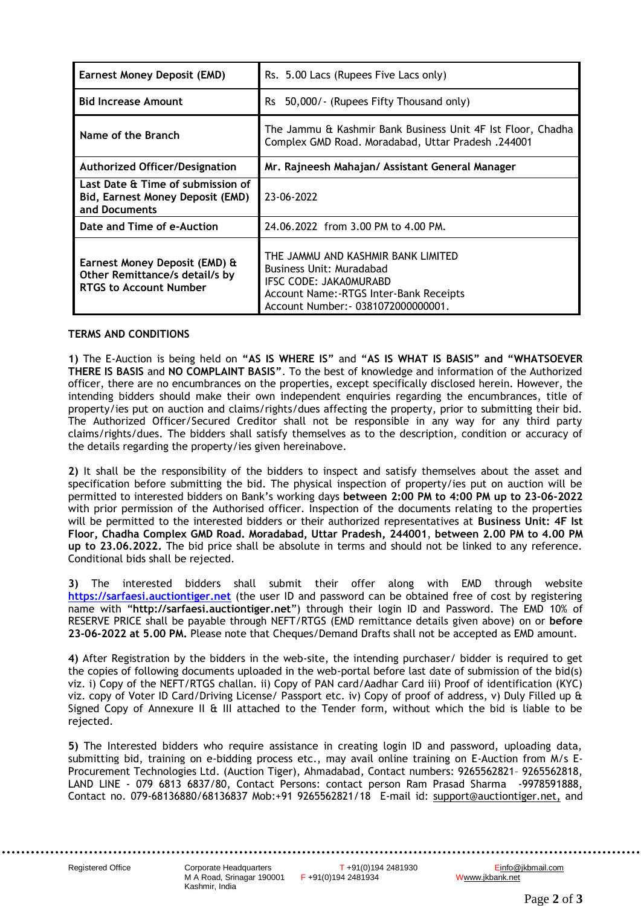| Earnest Money Deposit (EMD)                                                                      | Rs. 5.00 Lacs (Rupees Five Lacs only)                                                                                                                                       |
|--------------------------------------------------------------------------------------------------|-----------------------------------------------------------------------------------------------------------------------------------------------------------------------------|
| <b>Bid Increase Amount</b>                                                                       | 50,000/ - (Rupees Fifty Thousand only)<br><b>Rs</b>                                                                                                                         |
| Name of the Branch                                                                               | The Jammu & Kashmir Bank Business Unit 4F Ist Floor, Chadha<br>Complex GMD Road. Moradabad, Uttar Pradesh. 244001                                                           |
| <b>Authorized Officer/Designation</b>                                                            | Mr. Rajneesh Mahajan/ Assistant General Manager                                                                                                                             |
| Last Date & Time of submission of<br>Bid, Earnest Money Deposit (EMD)<br>and Documents           | 23-06-2022                                                                                                                                                                  |
| Date and Time of e-Auction                                                                       | 24.06.2022 from 3.00 PM to 4.00 PM.                                                                                                                                         |
| Earnest Money Deposit (EMD) &<br>Other Remittance/s detail/s by<br><b>RTGS to Account Number</b> | THE JAMMU AND KASHMIR BANK LIMITED<br>Business Unit: Muradabad<br>IFSC CODE: JAKA0MURABD<br>Account Name: - RTGS Inter-Bank Receipts<br>Account Number: - 0381072000000001. |

## **TERMS AND CONDITIONS**

**1)** The E-Auction is being held on **"AS IS WHERE IS"** and **"AS IS WHAT IS BASIS" and "WHATSOEVER THERE IS BASIS** and **NO COMPLAINT BASIS"**. To the best of knowledge and information of the Authorized officer, there are no encumbrances on the properties, except specifically disclosed herein. However, the intending bidders should make their own independent enquiries regarding the encumbrances, title of property/ies put on auction and claims/rights/dues affecting the property, prior to submitting their bid. The Authorized Officer/Secured Creditor shall not be responsible in any way for any third party claims/rights/dues. The bidders shall satisfy themselves as to the description, condition or accuracy of the details regarding the property/ies given hereinabove.

**2)** It shall be the responsibility of the bidders to inspect and satisfy themselves about the asset and specification before submitting the bid. The physical inspection of property/ies put on auction will be permitted to interested bidders on Bank's working days **between 2:00 PM to 4:00 PM up to 23-06-2022** with prior permission of the Authorised officer. Inspection of the documents relating to the properties will be permitted to the interested bidders or their authorized representatives at **Business Unit: 4F Ist Floor, Chadha Complex GMD Road. Moradabad, Uttar Pradesh, 244001**, **between 2.00 PM to 4.00 PM up to 23.06.2022.** The bid price shall be absolute in terms and should not be linked to any reference. Conditional bids shall be rejected.

**3)** The interested bidders shall submit their offer along with EMD through website **[https://sarfaesi.auctiontiger.net](https://sarfaesi.auctiontiger.net/)** (the user ID and password can be obtained free of cost by registering name with "**http://sarfaesi.auctiontiger.net**") through their login ID and Password. The EMD 10% of RESERVE PRICE shall be payable through NEFT/RTGS (EMD remittance details given above) on or **before 23-06-2022 at 5.00 PM.** Please note that Cheques/Demand Drafts shall not be accepted as EMD amount.

**4)** After Registration by the bidders in the web-site, the intending purchaser/ bidder is required to get the copies of following documents uploaded in the web-portal before last date of submission of the bid(s) viz. i) Copy of the NEFT/RTGS challan. ii) Copy of PAN card/Aadhar Card iii) Proof of identification (KYC) viz. copy of Voter ID Card/Driving License/ Passport etc. iv) Copy of proof of address, v) Duly Filled up & Signed Copy of Annexure II & III attached to the Tender form, without which the bid is liable to be rejected.

**5)** The Interested bidders who require assistance in creating login ID and password, uploading data, submitting bid, training on e-bidding process etc., may avail online training on E-Auction from M/s E-Procurement Technologies Ltd. (Auction Tiger), Ahmadabad, Contact numbers: 9265562821– 9265562818, LAND LINE - 079 6813 6837/80, Contact Persons: contact person Ram Prasad Sharma -9978591888, Contact no. 079-68136880/68136837 Mob:+91 9265562821/18 E-mail id: support@auctiontiger.ne[t,](mailto:rikin@abcprocure.com) and